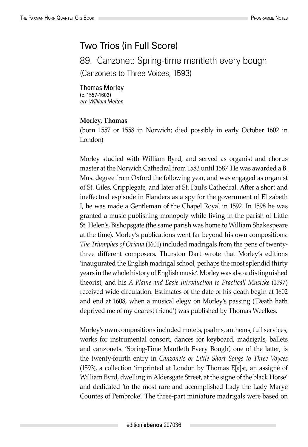## Two Trios (in Full Score)

89. Canzonet: Spring-time mantleth every bough (Canzonets to Three Voices, 1593)

Thomas Morley (c. 1557-1602) *arr. William Melton*

## **Morley, Thomas**

(born 1557 or 1558 in Norwich; died possibly in early October 1602 in London)

Morley studied with William Byrd, and served as organist and chorus master at the Norwich Cathedral from 1583 until 1587. He was awarded a B. Mus. degree from Oxford the following year, and was engaged as organist of St. Giles, Cripplegate, and later at St. Paul's Cathedral. After a short and ineffectual espisode in Flanders as a spy for the government of Elizabeth I, he was made a Gentleman of the Chapel Royal in 1592. In 1598 he was granted a music publishing monopoly while living in the parish of Little St. Helen's, Bishopsgate (the same parish was home to William Shakespeare at the time). Morley's publications went far beyond his own compositions: *The Triumphes of Oriana* (1601) included madrigals from the pens of twentythree different composers. Thurston Dart wrote that Morley's editions 'inaugurated the English madrigal school, perhaps the most splendid thirty years in the whole history of English music'. Morley was also a distinguished theorist, and his *A Plaine and Easie Introduction to Practicall Musicke* (1597) received wide circulation. Estimates of the date of his death begin at 1602 and end at 1608, when a musical elegy on Morley's passing ('Death hath deprived me of my dearest friend') was published by Thomas Weelkes.

Morley's own compositions included motets, psalms, anthems, full services, works for instrumental consort, dances for keyboard, madrigals, ballets and canzonets. 'Spring-Time Mantleth Every Bough', one of the latter, is the twenty-fourth entry in *Canzonets or Little Short Songs to Three Voyces* (1593), a collection 'imprinted at London by Thomas E[a]st, an assigné of William Byrd, dwelling in Aldersgate Street, at the signe of the black Horse' and dedicated 'to the most rare and accomplished Lady the Lady Marye Countes of Pembroke'. The three-part miniature madrigals were based on